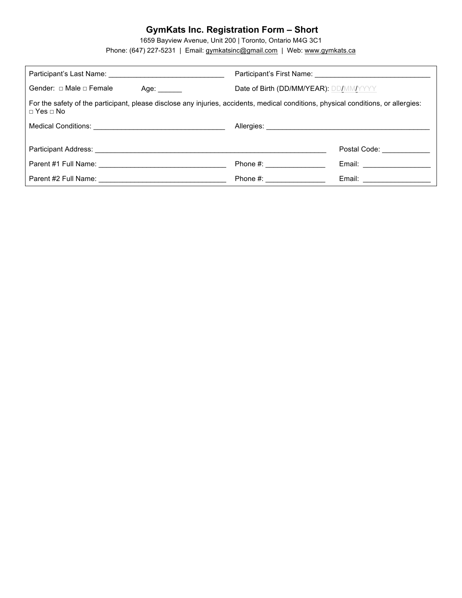# **GymKats Inc. Registration Form – Short**

1659 Bayview Avenue, Unit 200 | Toronto, Ontario M4G 3C1

Phone: (647) 227-5231 | Email: gymkatsinc@gmail.com | Web: www.gymkats.ca

| Gender: $\Box$ Male $\Box$ Female<br>Age: Age:                                                                                                                                                                                | Date of Birth (DD/MM/YEAR): DD/MM/YYYY                                                                                                                                                                                         |                                         |
|-------------------------------------------------------------------------------------------------------------------------------------------------------------------------------------------------------------------------------|--------------------------------------------------------------------------------------------------------------------------------------------------------------------------------------------------------------------------------|-----------------------------------------|
| For the safety of the participant, please disclose any injuries, accidents, medical conditions, physical conditions, or allergies:<br>$\sqcap$ Yes $\sqcap$ No                                                                |                                                                                                                                                                                                                                |                                         |
|                                                                                                                                                                                                                               |                                                                                                                                                                                                                                |                                         |
|                                                                                                                                                                                                                               |                                                                                                                                                                                                                                | Postal Code: Note that the postal code: |
| Parent #1 Full Name: Name: Name and Solid Name and Solid Name and Solid Name and Solid Name and Solid Name and Solid Name and Solid Name and Solid Name and Solid Name and Solid Name and Solid Name and Solid Name and Solid | Phone #: the state of the state of the state of the state of the state of the state of the state of the state of the state of the state of the state of the state of the state of the state of the state of the state of the s | Email: __________________               |
| Parent #2 Full Name:                                                                                                                                                                                                          | Phone $#$ :                                                                                                                                                                                                                    | Email:                                  |